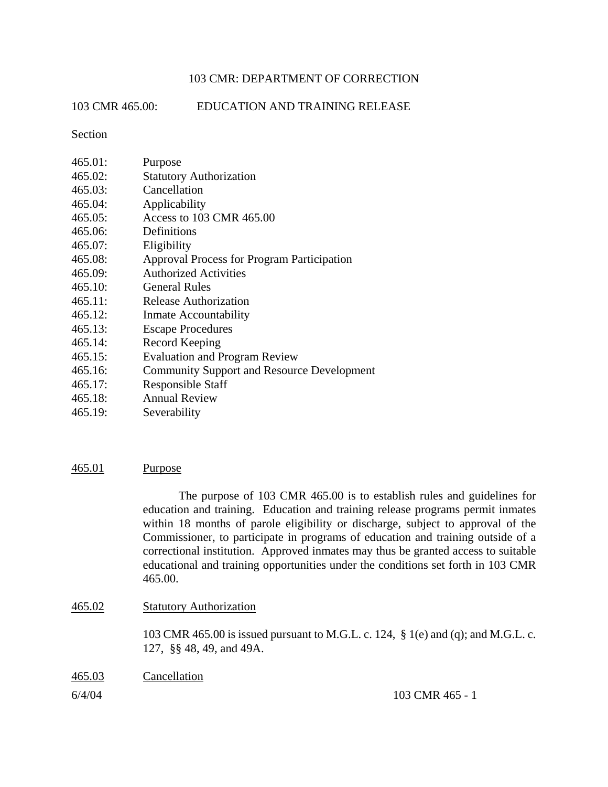## 103 CMR: DEPARTMENT OF CORRECTION

103 CMR 465.00: EDUCATION AND TRAINING RELEASE

Section

| 465.01: | Purpose                                           |
|---------|---------------------------------------------------|
| 465.02: | <b>Statutory Authorization</b>                    |
| 465.03: | Cancellation                                      |
| 465.04: | Applicability                                     |
| 465.05: | Access to 103 CMR 465.00                          |
| 465.06: | Definitions                                       |
| 465.07: | Eligibility                                       |
| 465.08: | <b>Approval Process for Program Participation</b> |
| 465.09: | <b>Authorized Activities</b>                      |
| 465.10: | <b>General Rules</b>                              |
| 465.11: | Release Authorization                             |
| 465.12: | Inmate Accountability                             |
| 465.13: | <b>Escape Procedures</b>                          |
| 465.14: | Record Keeping                                    |
| 465.15: | <b>Evaluation and Program Review</b>              |
| 465.16: | <b>Community Support and Resource Development</b> |
| 465.17: | <b>Responsible Staff</b>                          |
| 465.18: | <b>Annual Review</b>                              |

465.19: Severability

#### 465.01 Purpose

The purpose of 103 CMR 465.00 is to establish rules and guidelines for education and training. Education and training release programs permit inmates within 18 months of parole eligibility or discharge, subject to approval of the Commissioner, to participate in programs of education and training outside of a correctional institution. Approved inmates may thus be granted access to suitable educational and training opportunities under the conditions set forth in 103 CMR 465.00.

#### 465.02 Statutory Authorization

103 CMR 465.00 is issued pursuant to M.G.L. c. 124, § 1(e) and (q); and M.G.L. c. 127, §§ 48, 49, and 49A.

465.03 Cancellation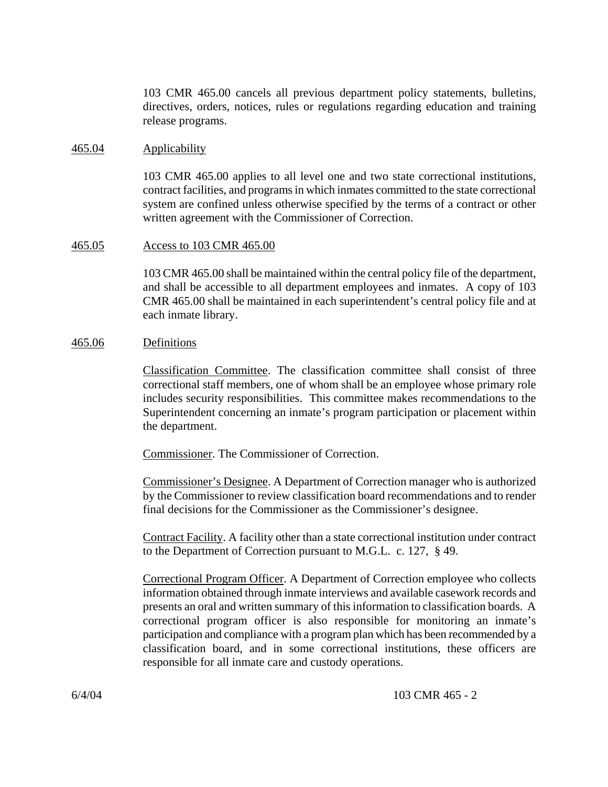103 CMR 465.00 cancels all previous department policy statements, bulletins, directives, orders, notices, rules or regulations regarding education and training release programs.

#### 465.04 Applicability

103 CMR 465.00 applies to all level one and two state correctional institutions, contract facilities, and programsin which inmates committed to the state correctional system are confined unless otherwise specified by the terms of a contract or other written agreement with the Commissioner of Correction.

#### 465.05 Access to 103 CMR 465.00

103 CMR 465.00 shall be maintained within the central policy file of the department, and shall be accessible to all department employees and inmates. A copy of 103 CMR 465.00 shall be maintained in each superintendent's central policy file and at each inmate library.

#### 465.06 Definitions

Classification Committee. The classification committee shall consist of three correctional staff members, one of whom shall be an employee whose primary role includes security responsibilities. This committee makes recommendations to the Superintendent concerning an inmate's program participation or placement within the department.

Commissioner. The Commissioner of Correction.

Commissioner's Designee. A Department of Correction manager who is authorized by the Commissioner to review classification board recommendations and to render final decisions for the Commissioner as the Commissioner's designee.

Contract Facility. A facility other than a state correctional institution under contract to the Department of Correction pursuant to M.G.L. c. 127, § 49.

Correctional Program Officer. A Department of Correction employee who collects information obtained through inmate interviews and available casework records and presents an oral and written summary of this information to classification boards. A correctional program officer is also responsible for monitoring an inmate's participation and compliance with a program plan which has been recommended by a classification board, and in some correctional institutions, these officers are responsible for all inmate care and custody operations.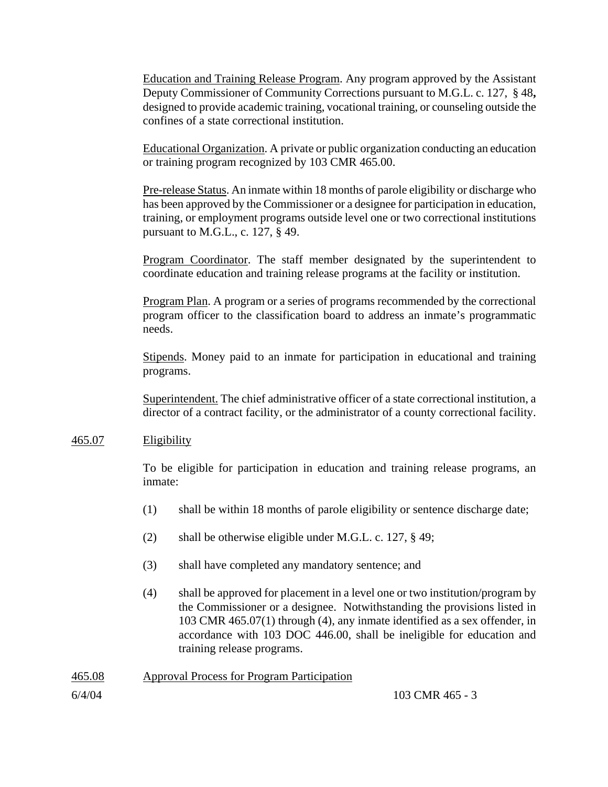Education and Training Release Program. Any program approved by the Assistant Deputy Commissioner of Community Corrections pursuant to M.G.L. c. 127, § 48**,** designed to provide academic training, vocational training, or counseling outside the confines of a state correctional institution.

Educational Organization. A private or public organization conducting an education or training program recognized by 103 CMR 465.00.

Pre-release Status. An inmate within 18 months of parole eligibility or discharge who has been approved by the Commissioner or a designee for participation in education, training, or employment programs outside level one or two correctional institutions pursuant to M.G.L., c. 127, § 49.

Program Coordinator. The staff member designated by the superintendent to coordinate education and training release programs at the facility or institution.

Program Plan. A program or a series of programs recommended by the correctional program officer to the classification board to address an inmate's programmatic needs.

Stipends. Money paid to an inmate for participation in educational and training programs.

Superintendent. The chief administrative officer of a state correctional institution, a director of a contract facility, or the administrator of a county correctional facility.

## 465.07 Eligibility

To be eligible for participation in education and training release programs, an inmate:

- (1) shall be within 18 months of parole eligibility or sentence discharge date;
- (2) shall be otherwise eligible under M.G.L. c. 127, § 49;
- (3) shall have completed any mandatory sentence; and
- (4) shall be approved for placement in a level one or two institution/program by the Commissioner or a designee. Notwithstanding the provisions listed in 103 CMR 465.07(1) through (4), any inmate identified as a sex offender, in accordance with 103 DOC 446.00, shall be ineligible for education and training release programs.

## 465.08 Approval Process for Program Participation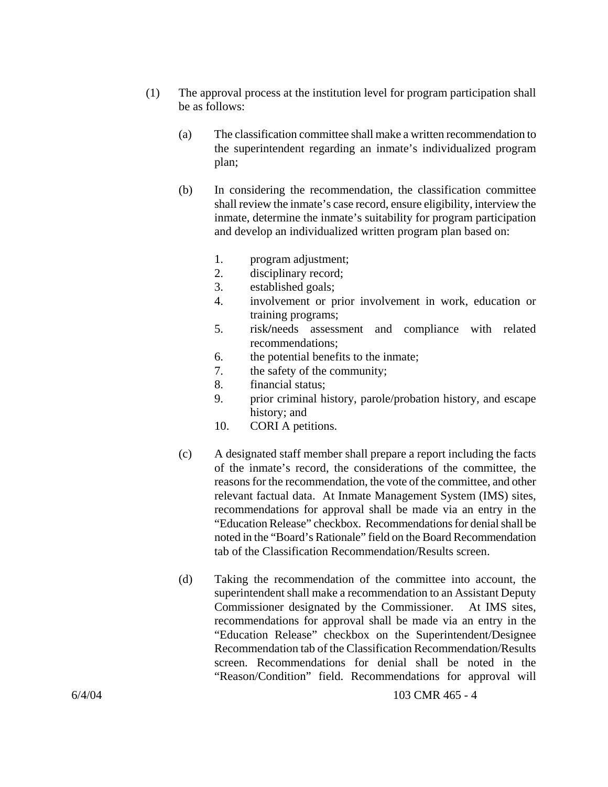- (1) The approval process at the institution level for program participation shall be as follows:
	- (a) The classification committee shall make a written recommendation to the superintendent regarding an inmate's individualized program plan;
	- (b) In considering the recommendation, the classification committee shall review the inmate's case record, ensure eligibility, interview the inmate, determine the inmate's suitability for program participation and develop an individualized written program plan based on:
		- 1. program adjustment;
		- 2. disciplinary record;
		- 3. established goals;
		- 4. involvement or prior involvement in work, education or training programs;
		- 5. risk**/**needs assessment and compliance with related recommendations;
		- 6. the potential benefits to the inmate;
		- 7. the safety of the community;
		- 8. financial status;
		- 9. prior criminal history, parole/probation history, and escape history; and
		- 10. CORI A petitions.
	- (c) A designated staff member shall prepare a report including the facts of the inmate's record, the considerations of the committee, the reasons for the recommendation, the vote of the committee, and other relevant factual data. At Inmate Management System (IMS) sites, recommendations for approval shall be made via an entry in the "Education Release" checkbox. Recommendations for denial shall be noted in the "Board's Rationale" field on the Board Recommendation tab of the Classification Recommendation/Results screen.
	- (d) Taking the recommendation of the committee into account, the superintendent shall make a recommendation to an Assistant Deputy Commissioner designated by the Commissioner. At IMS sites, recommendations for approval shall be made via an entry in the "Education Release" checkbox on the Superintendent/Designee Recommendation tab of the Classification Recommendation/Results screen. Recommendations for denial shall be noted in the "Reason/Condition" field. Recommendations for approval will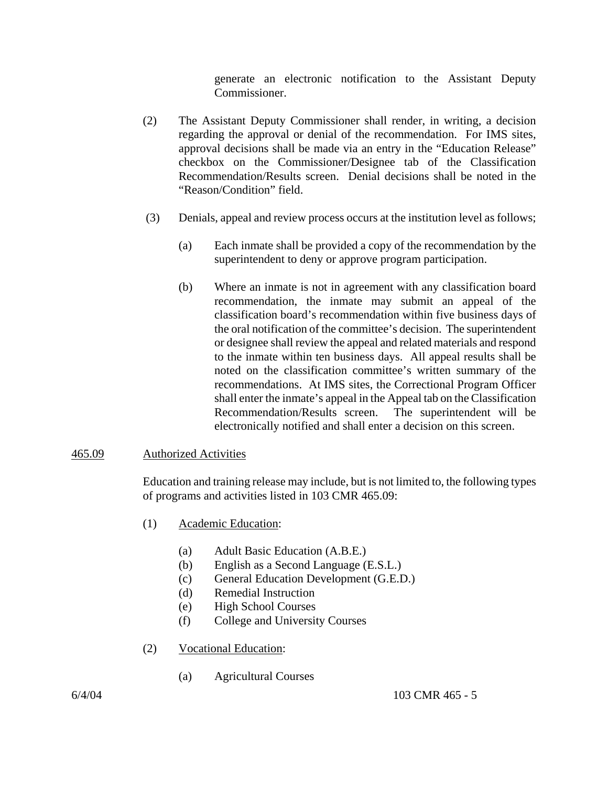generate an electronic notification to the Assistant Deputy Commissioner.

- (2) The Assistant Deputy Commissioner shall render, in writing, a decision regarding the approval or denial of the recommendation. For IMS sites, approval decisions shall be made via an entry in the "Education Release" checkbox on the Commissioner/Designee tab of the Classification Recommendation/Results screen. Denial decisions shall be noted in the "Reason/Condition" field.
- (3) Denials, appeal and review process occurs at the institution level as follows;
	- (a) Each inmate shall be provided a copy of the recommendation by the superintendent to deny or approve program participation.
	- (b) Where an inmate is not in agreement with any classification board recommendation, the inmate may submit an appeal of the classification board's recommendation within five business days of the oral notification of the committee's decision. The superintendent or designee shall review the appeal and related materials and respond to the inmate within ten business days. All appeal results shall be noted on the classification committee's written summary of the recommendations. At IMS sites, the Correctional Program Officer shall enter the inmate's appeal in the Appeal tab on the Classification Recommendation/Results screen. The superintendent will be electronically notified and shall enter a decision on this screen.

## 465.09 Authorized Activities

Education and training release may include, but is not limited to, the following types of programs and activities listed in 103 CMR 465.09:

- (1) Academic Education:
	- (a) Adult Basic Education (A.B.E.)
	- (b) English as a Second Language (E.S.L.)
	- (c) General Education Development (G.E.D.)
	- (d) Remedial Instruction
	- (e) High School Courses
	- (f) College and University Courses
- (2) Vocational Education:
	- (a) Agricultural Courses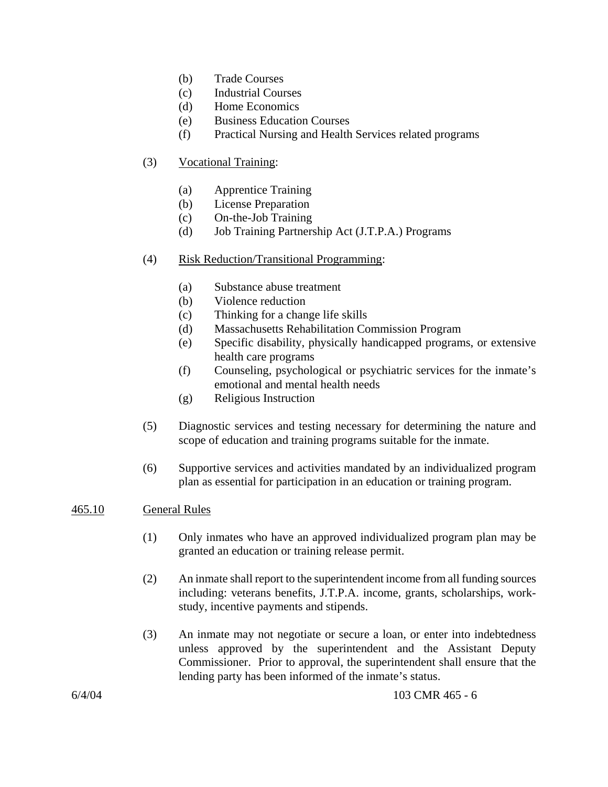- (b) Trade Courses
- (c) Industrial Courses
- (d) Home Economics
- (e) Business Education Courses
- (f) Practical Nursing and Health Services related programs

# (3) Vocational Training:

- (a) Apprentice Training
- (b) License Preparation
- (c) On-the-Job Training
- (d) Job Training Partnership Act (J.T.P.A.) Programs

## (4) Risk Reduction/Transitional Programming:

- (a) Substance abuse treatment
- (b) Violence reduction
- (c) Thinking for a change life skills
- (d) Massachusetts Rehabilitation Commission Program
- (e) Specific disability, physically handicapped programs, or extensive health care programs
- (f) Counseling, psychological or psychiatric services for the inmate's emotional and mental health needs
- (g) Religious Instruction
- (5) Diagnostic services and testing necessary for determining the nature and scope of education and training programs suitable for the inmate.
- (6) Supportive services and activities mandated by an individualized program plan as essential for participation in an education or training program.

## 465.10 General Rules

- (1) Only inmates who have an approved individualized program plan may be granted an education or training release permit.
- (2) An inmate shall report to the superintendent income from all funding sources including: veterans benefits, J.T.P.A. income, grants, scholarships, workstudy, incentive payments and stipends.
- (3) An inmate may not negotiate or secure a loan, or enter into indebtedness unless approved by the superintendent and the Assistant Deputy Commissioner.Prior to approval, the superintendent shall ensure that the lending party has been informed of the inmate's status.

6/4/04 103 CMR 465 - 6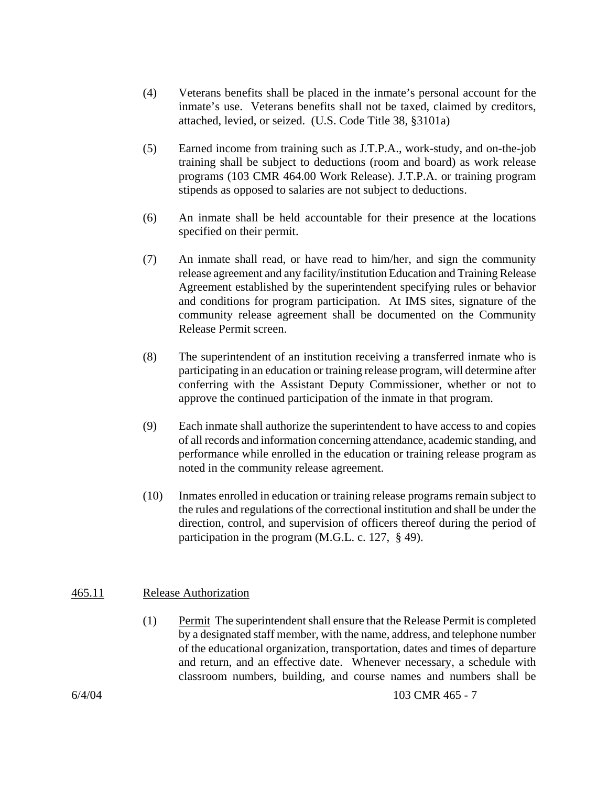- (4) Veterans benefits shall be placed in the inmate's personal account for the inmate's use. Veterans benefits shall not be taxed, claimed by creditors, attached, levied, or seized. (U.S. Code Title 38, §3101a)
- (5) Earned income from training such as J.T.P.A., work-study, and on-the-job training shall be subject to deductions (room and board) as work release programs (103 CMR 464.00 Work Release). J.T.P.A. or training program stipends as opposed to salaries are not subject to deductions.
- (6) An inmate shall be held accountable for their presence at the locations specified on their permit.
- (7) An inmate shall read, or have read to him/her, and sign the community release agreement and any facility/institution Education and Training Release Agreement established by the superintendent specifying rules or behavior and conditions for program participation. At IMS sites, signature of the community release agreement shall be documented on the Community Release Permit screen.
- (8) The superintendent of an institution receiving a transferred inmate who is participating in an education or training release program, will determine after conferring with the Assistant Deputy Commissioner, whether or not to approve the continued participation of the inmate in that program.
- (9) Each inmate shall authorize the superintendent to have access to and copies of all records and information concerning attendance, academic standing, and performance while enrolled in the education or training release program as noted in the community release agreement.
- (10) Inmates enrolled in education or training release programs remain subject to the rules and regulations of the correctional institution and shall be under the direction, control, and supervision of officers thereof during the period of participation in the program (M.G.L. c. 127, § 49).

## 465.11 Release Authorization

(1) Permit The superintendent shall ensure that the Release Permit is completed by a designated staff member, with the name, address, and telephone number of the educational organization, transportation, dates and times of departure and return, and an effective date. Whenever necessary, a schedule with classroom numbers, building, and course names and numbers shall be

6/4/04 103 CMR 465 - 7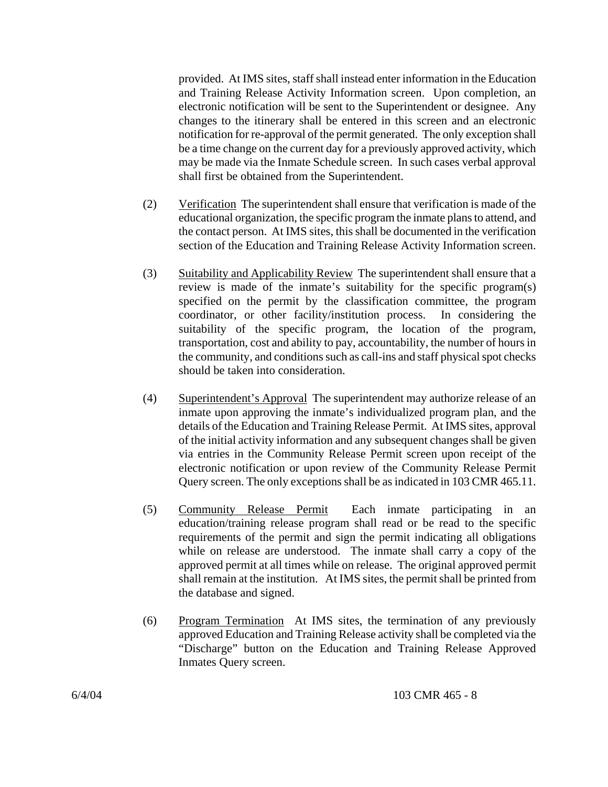provided. At IMS sites, staff shall instead enter information in the Education and Training Release Activity Information screen. Upon completion, an electronic notification will be sent to the Superintendent or designee. Any changes to the itinerary shall be entered in this screen and an electronic notification for re-approval of the permit generated. The only exception shall be a time change on the current day for a previously approved activity, which may be made via the Inmate Schedule screen. In such cases verbal approval shall first be obtained from the Superintendent.

- (2) Verification The superintendent shall ensure that verification is made of the educational organization, the specific program the inmate plans to attend, and the contact person. At IMS sites, this shall be documented in the verification section of the Education and Training Release Activity Information screen.
- (3) Suitability and Applicability Review The superintendent shall ensure that a review is made of the inmate's suitability for the specific program(s) specified on the permit by the classification committee, the program coordinator, or other facility/institution process. In considering the suitability of the specific program, the location of the program, transportation, cost and ability to pay, accountability, the number of hours in the community, and conditions such as call-ins and staff physical spot checks should be taken into consideration.
- (4) Superintendent's Approval The superintendent may authorize release of an inmate upon approving the inmate's individualized program plan, and the details of the Education and Training Release Permit. At IMS sites, approval of the initial activity information and any subsequent changes shall be given via entries in the Community Release Permit screen upon receipt of the electronic notification or upon review of the Community Release Permit Query screen. The only exceptions shall be as indicated in 103 CMR 465.11.
- (5) Community Release Permit Each inmate participating in an education/training release program shall read or be read to the specific requirements of the permit and sign the permit indicating all obligations while on release are understood. The inmate shall carry a copy of the approved permit at all times while on release. The original approved permit shall remain at the institution. At IMS sites, the permit shall be printed from the database and signed.
- (6) Program Termination At IMS sites, the termination of any previously approved Education and Training Release activity shall be completed via the "Discharge" button on the Education and Training Release Approved Inmates Query screen.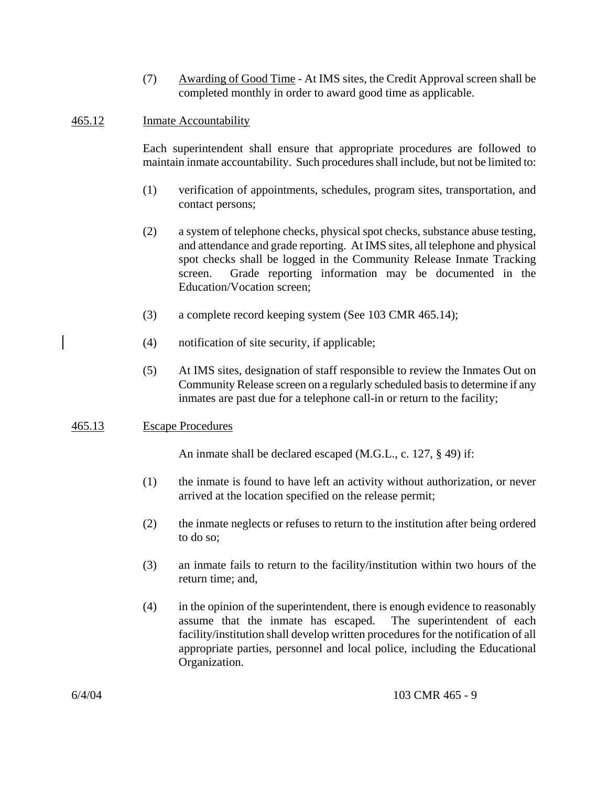(7) Awarding of Good Time - At IMS sites, the Credit Approval screen shall be completed monthly in order to award good time as applicable.

# 465.12 Inmate Accountability

Each superintendent shall ensure that appropriate procedures are followed to maintain inmate accountability. Such procedures shall include, but not be limited to:

- (1) verification of appointments, schedules, program sites, transportation, and contact persons;
- (2) a system of telephone checks, physical spot checks, substance abuse testing, and attendance and grade reporting. At IMS sites, all telephone and physical spot checks shall be logged in the Community Release Inmate Tracking screen. Grade reporting information may be documented in the Education/Vocation screen;
- (3) a complete record keeping system (See 103 CMR 465.14);
- (4) notification of site security, if applicable;
- (5) At IMS sites, designation of staff responsible to review the Inmates Out on Community Release screen on a regularly scheduled basis to determine if any inmates are past due for a telephone call-in or return to the facility;

# 465.13 Escape Procedures

An inmate shall be declared escaped (M.G.L., c. 127, § 49) if:

- (1) the inmate is found to have left an activity without authorization, or never arrived at the location specified on the release permit;
- (2) the inmate neglects or refuses to return to the institution after being ordered to do so;
- (3) an inmate fails to return to the facility/institution within two hours of the return time; and,
- (4) in the opinion of the superintendent, there is enough evidence to reasonably assume that the inmate has escaped. The superintendent of each facility/institution shall develop written procedures for the notification of all appropriate parties, personnel and local police, including the Educational Organization.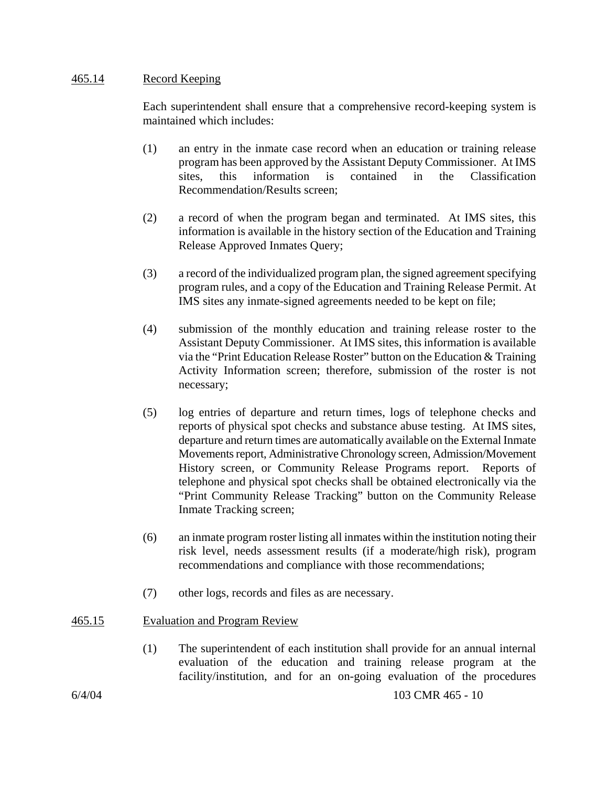## 465.14 Record Keeping

Each superintendent shall ensure that a comprehensive record-keeping system is maintained which includes:

- (1) an entry in the inmate case record when an education or training release program has been approved by the Assistant Deputy Commissioner. At IMS sites, this information is contained in the Classification Recommendation/Results screen;
- (2) a record of when the program began and terminated. At IMS sites, this information is available in the history section of the Education and Training Release Approved Inmates Query;
- (3) a record of the individualized program plan, the signed agreement specifying program rules, and a copy of the Education and Training Release Permit. At IMS sites any inmate-signed agreements needed to be kept on file;
- (4) submission of the monthly education and training release roster to the Assistant Deputy Commissioner. At IMS sites, this information is available via the "Print Education Release Roster" button on the Education & Training Activity Information screen; therefore, submission of the roster is not necessary;
- (5) log entries of departure and return times, logs of telephone checks and reports of physical spot checks and substance abuse testing. At IMS sites, departure and return times are automatically available on the External Inmate Movements report, Administrative Chronology screen, Admission/Movement History screen, or Community Release Programs report. Reports of telephone and physical spot checks shall be obtained electronically via the "Print Community Release Tracking" button on the Community Release Inmate Tracking screen;
- (6) an inmate program roster listing all inmates within the institution noting their risk level, needs assessment results (if a moderate/high risk), program recommendations and compliance with those recommendations;
- (7) other logs, records and files as are necessary.

# 465.15 Evaluation and Program Review

(1) The superintendent of each institution shall provide for an annual internal evaluation of the education and training release program at the facility/institution, and for an on-going evaluation of the procedures

6/4/04 103 CMR 465 - 10